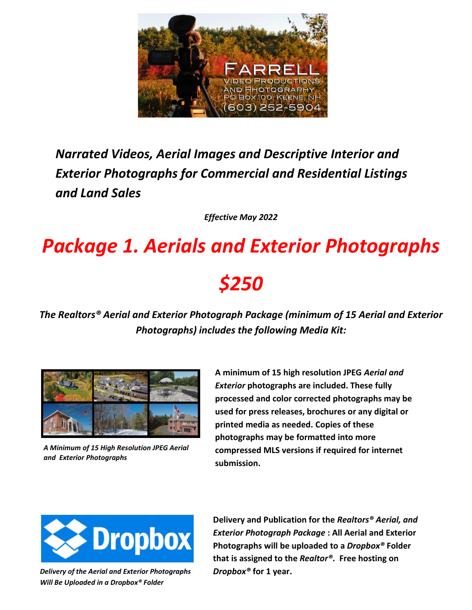

### *Narrated Videos, Aerial Images and Descriptive Interior and Exterior Photographs for Commercial and Residential Listings and Land Sales*

*Effective May 2022*

## *Package 1. Aerials and Exterior Photographs*

### *\$250*

*The Realtors® Aerial and Exterior Photograph Package (minimum of 15 Aerial and Exterior Photographs) includes the following Media Kit:*



*A Minimum of 15 High Resolution JPEG Aerial and Exterior Photographs*

**A minimum of 15 high resolution JPEG** *Aerial and Exterior* **photographs are included. These fully processed and color corrected photographs may be used for press releases, brochures or any digital or printed media as needed. Copies of these photographs may be formatted into more compressed MLS versions if required for internet submission.**



*Delivery of the Aerial and Exterior Photographs Will Be Uploaded in a Dropbox® Folder*

**Delivery and Publication for the** *Realtors® Aerial, and Exterior Photograph Package* **: All Aerial and Exterior Photographs will be uploaded to a** *Dropbox®* **Folder that is assigned to the** *Realtor®***. Free hosting on**  *Dropbox®* **for 1 year.**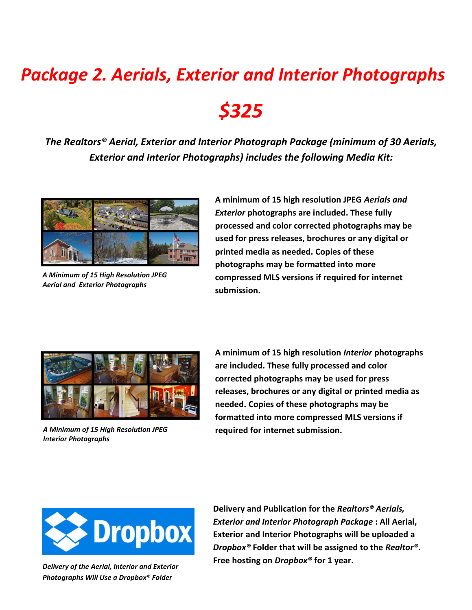# *Package 2. Aerials, Exterior and Interior Photographs \$325*

*The Realtors® Aerial, Exterior and Interior Photograph Package (minimum of 30 Aerials, Exterior and Interior Photographs) includes the following Media Kit:*



*A Minimum of 15 High Resolution JPEG Aerial and Exterior Photographs*

**A minimum of 15 high resolution JPEG** *Aerials and Exterior* **photographs are included. These fully processed and color corrected photographs may be used for press releases, brochures or any digital or printed media as needed. Copies of these photographs may be formatted into more compressed MLS versions if required for internet submission.**



*A Minimum of 15 High Resolution JPEG Interior Photographs*

**A minimum of 15 high resolution** *Interior* **photographs are included. These fully processed and color corrected photographs may be used for press releases, brochures or any digital or printed media as needed. Copies of these photographs may be formatted into more compressed MLS versions if required for internet submission.**



 *Photographs Will Use a Dropbox® Folder Delivery of the Aerial, Interior and Exterior*  **Delivery and Publication for the** *Realtors® Aerials, Exterior and Interior Photograph Package* **: All Aerial, Exterior and Interior Photographs will be uploaded a**  *Dropbox®* **Folder that will be assigned to the** *Realtor®***. Free hosting on** *Dropbox®* **for 1 year.**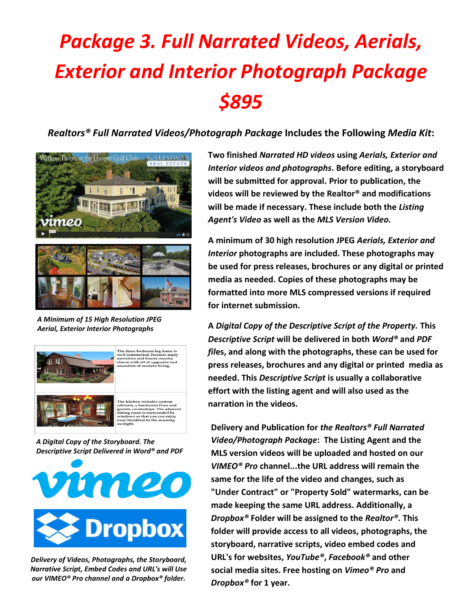## *Package 3. Full Narrated Videos, Aerials, Exterior and Interior Photograph Package \$895*

*Realtors® Full Narrated Videos/Photograph Package* **Includes the Following** *Media Kit***:**



*A Minimum of 15 High Resolution JPEG Aerial, Exterior Interior Photographs*



*A Digital Copy of the Storyboard. The Descriptive Script Delivered in Word® and PDF*



*Delivery of Videos, Photographs, the Storyboard, Narrative Script, Embed Codes and URL's will Use our VIMEO® Pro channel and a Dropbox® folder.*

**Two finished** *Narrated HD videos* **using** *Aerials, Exterior and Interior videos and photographs***. Before editing, a storyboard will be submitted for approval. Prior to publication, the videos will be reviewed by the Realtor® and modifications will be made if necessary. These include both the** *Listing Agent's Video* **as well as the** *MLS Version Video.* 

**A minimum of 30 high resolution JPEG** *Aerials, Exterior and Interior* **photographs are included. These photographs may be used for press releases, brochures or any digital or printed media as needed. Copies of these photographs may be formatted into more MLS compressed versions if required for internet submission.**

**A** *Digital Copy of the Descriptive Script of the Property.* **This** *Descriptive Script* **will be delivered in both** *Word®* **and** *PDF fil***es, and along with the photographs, these can be used for press releases, brochures and any digital or printed media as needed. This** *Descriptive Script* **is usually a collaborative effort with the listing agent and will also used as the narration in the videos.**

**Delivery and Publication for** *the Realtors® Full Narrated Video/Photograph Package***: The Listing Agent and the MLS version videos will be uploaded and hosted on our**  *VIMEO® Pro* **channel...the URL address will remain the same for the life of the video and changes, such as "Under Contract" or "Property Sold" watermarks, can be made keeping the same URL address. Additionally, a**  *Dropbox®* **Folder will be assigned to the** *Realtor®***. This folder will provide access to all videos, photographs, the storyboard, narrative scripts, video embed codes and URL's for websites,** *YouTube®***,** *Facebook®* **and other social media sites. Free hosting on** *Vimeo® Pro* **and**  *Dropbox®* **for 1 year.**